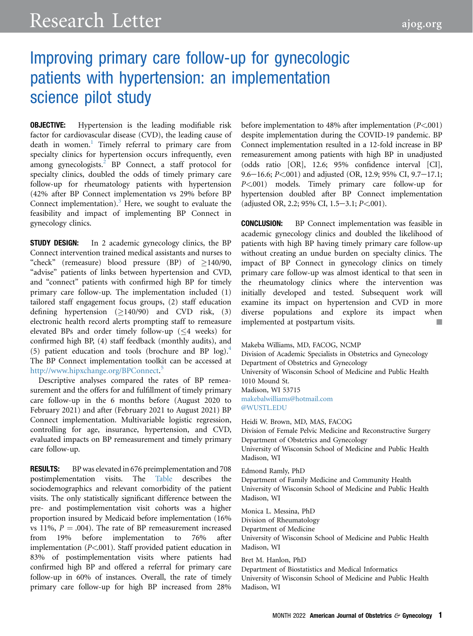# Improving primary care follow-up for gynecologic patients with hypertension: an implementation science pilot study

**OBJECTIVE:** Hypertension is the leading modifiable risk factor for cardiovascular disease (CVD), the leading cause of death in women.<sup>1</sup> Timely referral to primary care from specialty clinics for hypertension occurs infrequently, even among gynecologists. $^{2}$  $^{2}$  $^{2}$  BP Connect, a staff protocol for specialty clinics, doubled the odds of timely primary care follow-up for rheumatology patients with hypertension (42% after BP Connect implementation vs 29% before BP Connect implementation). $3$  Here, we sought to evaluate the feasibility and impact of implementing BP Connect in gynecology clinics.

**STUDY DESIGN:** In 2 academic gynecology clinics, the BP Connect intervention trained medical assistants and nurses to "check" (remeasure) blood pressure (BP) of  $>140/90$ , "advise" patients of links between hypertension and CVD, and "connect" patients with confirmed high BP for timely primary care follow-up. The implementation included (1) tailored staff engagement focus groups, (2) staff education defining hypertension  $(\geq 140/90)$  and CVD risk, (3) electronic health record alerts prompting staff to remeasure elevated BPs and order timely follow-up  $(\leq 4$  weeks) for confirmed high BP, (4) staff feedback (monthly audits), and (5) patient education and tools (brochure and BP  $log$ ).<sup>[4](#page-2-3)</sup> The BP Connect implementation toolkit can be accessed at <http://www.hipxchange.org/BPConnect>. [5](#page-2-4)

Descriptive analyses compared the rates of BP remeasurement and the offers for and fulfillment of timely primary care follow-up in the 6 months before (August 2020 to February 2021) and after (February 2021 to August 2021) BP Connect implementation. Multivariable logistic regression, controlling for age, insurance, hypertension, and CVD, evaluated impacts on BP remeasurement and timely primary care follow-up.

RESULTS: BP was elevated in 676 preimplementation and 708 postimplementation visits. The [Table](#page-1-0) describes the sociodemographics and relevant comorbidity of the patient visits. The only statistically significant difference between the pre- and postimplementation visit cohorts was a higher proportion insured by Medicaid before implementation (16% vs 11%,  $P = .004$ ). The rate of BP remeasurement increased<br>from 19% before implementation to 76% after from 19% before implementation to implementation  $(P<.001)$ . Staff provided patient education in 83% of postimplementation visits where patients had confirmed high BP and offered a referral for primary care follow-up in 60% of instances. Overall, the rate of timely primary care follow-up for high BP increased from 28% before implementation to 48% after implementation  $(P<.001)$ despite implementation during the COVID-19 pandemic. BP Connect implementation resulted in a 12-fold increase in BP remeasurement among patients with high BP in unadjusted (odds ratio [OR], 12.6; 95% confidence interval [CI], 9.6–16.6;  $P < 001$ ) and adjusted (OR, 12.9; 95% CI, 9.7–17.1; P<.001) models. Timely primary care follow-up for hypertension doubled after BP Connect implementation (adjusted OR, 2.2; 95% CI, 1.5-3.1;  $P < 001$ ).

CONCLUSION: BP Connect implementation was feasible in academic gynecology clinics and doubled the likelihood of patients with high BP having timely primary care follow-up without creating an undue burden on specialty clinics. The impact of BP Connect in gynecology clinics on timely primary care follow-up was almost identical to that seen in the rheumatology clinics where the intervention was initially developed and tested. Subsequent work will examine its impact on hypertension and CVD in more diverse populations and explore its impact when implemented at postpartum visits.

```
Makeba Williams, MD, FACOG, NCMP
```
Division of Academic Specialists in Obstetrics and Gynecology Department of Obstetrics and Gynecology University of Wisconsin School of Medicine and Public Health 1010 Mound St. Madison, WI 53715 [makebalwilliams@hotmail.com](mailto:makebalwilliams@hotmail.com) [@WUSTL.EDU](https://twitter.com/WUSTL.EDU)

Heidi W. Brown, MD, MAS, FACOG Division of Female Pelvic Medicine and Reconstructive Surgery Department of Obstetrics and Gynecology University of Wisconsin School of Medicine and Public Health Madison, WI

Edmond Ramly, PhD

Department of Family Medicine and Community Health University of Wisconsin School of Medicine and Public Health Madison, WI

Monica L. Messina, PhD

Division of Rheumatology

Department of Medicine

University of Wisconsin School of Medicine and Public Health Madison, WI

Bret M. Hanlon, PhD

Department of Biostatistics and Medical Informatics University of Wisconsin School of Medicine and Public Health Madison, WI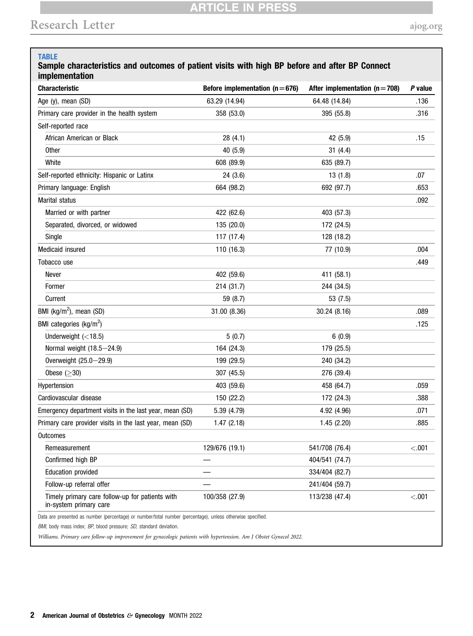## **ARTICLE IN PRESS**

# <u>Research Letter and Changes and Changes and Changes and Changes and Changes and Changes and Changes and Changes and</u>

#### <span id="page-1-0"></span>TABLE

#### Sample characteristics and outcomes of patient visits with high BP before and after BP Connect implementation

| <b>Characteristic</b>                                    | Before implementation ( $n = 676$ ) | After implementation ( $n = 708$ ) | P value |
|----------------------------------------------------------|-------------------------------------|------------------------------------|---------|
| Age (y), mean (SD)                                       | 63.29 (14.94)                       | 64.48 (14.84)                      | .136    |
| Primary care provider in the health system               | 358 (53.0)                          | 395 (55.8)                         | .316    |
| Self-reported race                                       |                                     |                                    |         |
| African American or Black                                | 28 (4.1)                            | 42 (5.9)                           | .15     |
| <b>Other</b>                                             | 40 (5.9)                            | 31(4.4)                            |         |
| White                                                    | 608 (89.9)                          | 635 (89.7)                         |         |
| Self-reported ethnicity: Hispanic or Latinx              | 24(3.6)                             | 13(1.8)                            | .07     |
| Primary language: English                                | 664 (98.2)                          | 692 (97.7)                         | .653    |
| Marital status                                           |                                     |                                    | .092    |
| Married or with partner                                  | 422 (62.6)                          | 403 (57.3)                         |         |
| Separated, divorced, or widowed                          | 135 (20.0)                          | 172 (24.5)                         |         |
| Single                                                   | 117 (17.4)                          | 128 (18.2)                         |         |
| Medicaid insured                                         | 110 (16.3)                          | 77 (10.9)                          | .004    |
| Tobacco use                                              |                                     |                                    | .449    |
| Never                                                    | 402 (59.6)                          | 411 (58.1)                         |         |
| Former                                                   | 214 (31.7)                          | 244 (34.5)                         |         |
| Current                                                  | 59 (8.7)                            | 53 (7.5)                           |         |
| BMI ( $kg/m2$ ), mean (SD)                               | 31.00 (8.36)                        | 30.24(8.16)                        | .089    |
| BMI categories (kg/m <sup>2</sup> )                      |                                     |                                    | .125    |
| Underweight $(<18.5)$                                    | 5(0.7)                              | 6(0.9)                             |         |
| Normal weight (18.5-24.9)                                | 164 (24.3)                          | 179 (25.5)                         |         |
| Overweight (25.0-29.9)                                   | 199 (29.5)                          | 240 (34.2)                         |         |
| Obese $(>30)$                                            | 307 (45.5)                          | 276 (39.4)                         |         |
| Hypertension                                             | 403 (59.6)                          | 458 (64.7)                         | .059    |
| Cardiovascular disease                                   | 150 (22.2)                          | 172 (24.3)                         | .388    |
| Emergency department visits in the last year, mean (SD)  | 5.39 (4.79)                         | 4.92 (4.96)                        | .071    |
| Primary care provider visits in the last year, mean (SD) | 1.47(2.18)                          | 1.45(2.20)                         | .885    |
| Outcomes                                                 |                                     |                                    |         |
| Remeasurement                                            | 129/676 (19.1)                      | 541/708 (76.4)                     | < .001  |
| Confirmed high BP                                        |                                     | 404/541 (74.7)                     |         |
| <b>Education provided</b>                                |                                     | 334/404 (82.7)                     |         |
| Follow-up referral offer                                 |                                     | 241/404 (59.7)                     |         |
| Timely primary care follow-up for patients with          | 100/358 (27.9)                      | 113/238 (47.4)                     | < .001  |

Williams. Primary care follow-up improvement for gynecologic patients with hypertension. Am J Obstet Gynecol 2022.